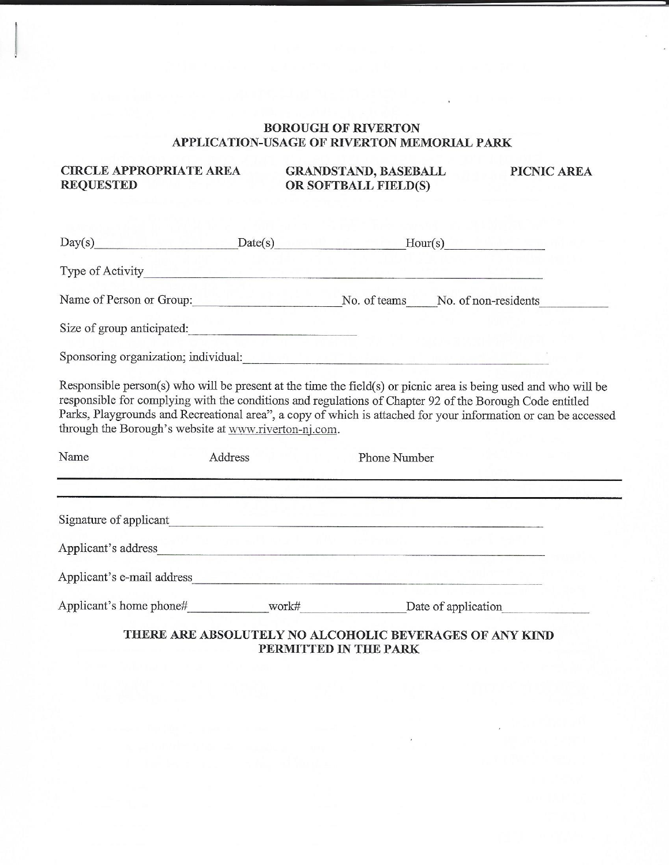## **BOROUGH OF RIVERTON** APPLICATION-USAGE OF RIVERTON MEMORIAL PARK

**CIRCLE APPROPRIATE AREA REQUESTED** 

**GRANDSTAND, BASEBALL<br>OR SOFTBALL FIELD(S)** 

PICNIC AREA

|                                                                                                                                                                                                                               | $Day(s)$ $Date(s)$ |              | $\text{Hour}(s)$                                                                                                                                                                                                                                                                                                                              |
|-------------------------------------------------------------------------------------------------------------------------------------------------------------------------------------------------------------------------------|--------------------|--------------|-----------------------------------------------------------------------------------------------------------------------------------------------------------------------------------------------------------------------------------------------------------------------------------------------------------------------------------------------|
|                                                                                                                                                                                                                               |                    |              |                                                                                                                                                                                                                                                                                                                                               |
| Name of Person or Group: No. of teams No. of non-residents                                                                                                                                                                    |                    |              |                                                                                                                                                                                                                                                                                                                                               |
| Size of group anticipated:                                                                                                                                                                                                    |                    |              |                                                                                                                                                                                                                                                                                                                                               |
| Sponsoring organization; individual:                                                                                                                                                                                          |                    |              |                                                                                                                                                                                                                                                                                                                                               |
| through the Borough's website at www.riverton-nj.com.<br>Name                                                                                                                                                                 | Address            | Phone Number | Responsible person(s) who will be present at the time the field(s) or picnic area is being used and who will be<br>responsible for complying with the conditions and regulations of Chapter 92 of the Borough Code entitled<br>Parks, Playgrounds and Recreational area", a copy of which is attached for your information or can be accessed |
|                                                                                                                                                                                                                               |                    |              |                                                                                                                                                                                                                                                                                                                                               |
|                                                                                                                                                                                                                               |                    |              |                                                                                                                                                                                                                                                                                                                                               |
|                                                                                                                                                                                                                               |                    |              |                                                                                                                                                                                                                                                                                                                                               |
|                                                                                                                                                                                                                               |                    |              |                                                                                                                                                                                                                                                                                                                                               |
| Applicant's e-mail address experience and the set of the set of the set of the set of the set of the set of the set of the set of the set of the set of the set of the set of the set of the set of the set of the set of the |                    |              |                                                                                                                                                                                                                                                                                                                                               |

PERMITTED IN THE PARK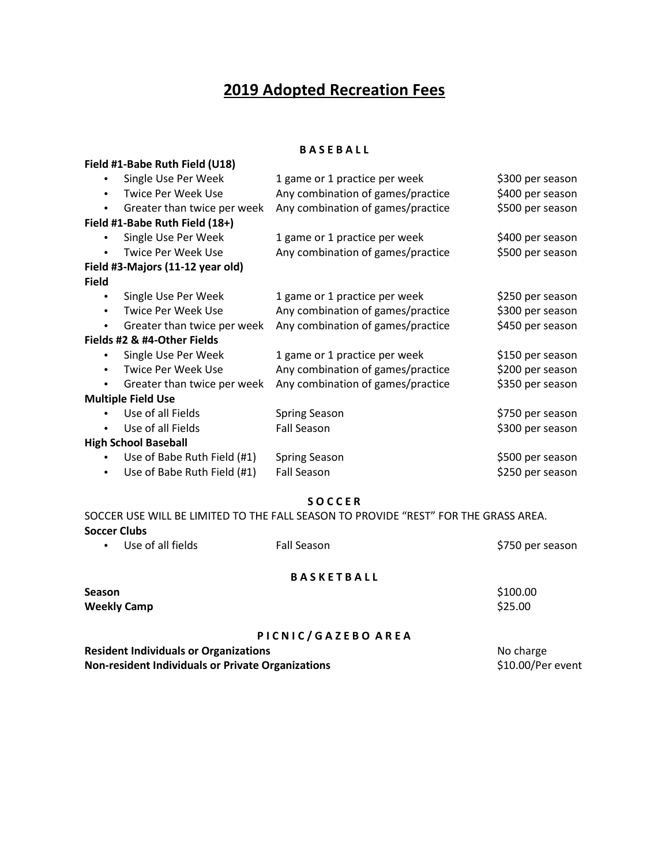# **2019 Adopted Recreation Fees**

### **B A S E B A L L**

**Field #1-Babe Ruth Field (U18)**

| $\bullet$    | Single Use Per Week              | 1 game or 1 practice per week     | \$300 per season |
|--------------|----------------------------------|-----------------------------------|------------------|
| $\bullet$    | Twice Per Week Use               | Any combination of games/practice | \$400 per season |
| $\bullet$    | Greater than twice per week      | Any combination of games/practice | \$500 per season |
|              | Field #1-Babe Ruth Field (18+)   |                                   |                  |
| $\bullet$    | Single Use Per Week              | 1 game or 1 practice per week     | \$400 per season |
| $\bullet$    | <b>Twice Per Week Use</b>        | Any combination of games/practice | \$500 per season |
|              | Field #3-Majors (11-12 year old) |                                   |                  |
| <b>Field</b> |                                  |                                   |                  |
| ٠            | Single Use Per Week              | 1 game or 1 practice per week     | \$250 per season |
| $\bullet$    | Twice Per Week Use               | Any combination of games/practice | \$300 per season |
| $\bullet$    | Greater than twice per week      | Any combination of games/practice | \$450 per season |
|              | Fields #2 & #4-Other Fields      |                                   |                  |
|              | Single Use Per Week              | 1 game or 1 practice per week     | \$150 per season |
| $\bullet$    | Twice Per Week Use               | Any combination of games/practice | \$200 per season |
| $\bullet$    | Greater than twice per week      | Any combination of games/practice | \$350 per season |
|              | <b>Multiple Field Use</b>        |                                   |                  |
| $\bullet$    | Use of all Fields                | <b>Spring Season</b>              | \$750 per season |
| $\bullet$    | Use of all Fields                | Fall Season                       | \$300 per season |
|              | <b>High School Baseball</b>      |                                   |                  |
| $\bullet$    | Use of Babe Ruth Field (#1)      | <b>Spring Season</b>              | \$500 per season |
| $\bullet$    | Use of Babe Ruth Field (#1)      | Fall Season                       | \$250 per season |
|              |                                  |                                   |                  |

**S O C C E R**

SOCCER USE WILL BE LIMITED TO THE FALL SEASON TO PROVIDE "REST" FOR THE GRASS AREA. **Soccer Clubs**

| $\bullet$                                         | Use of all fields                            | <b>Fall Season</b> | \$750 per season  |
|---------------------------------------------------|----------------------------------------------|--------------------|-------------------|
|                                                   |                                              | <b>BASKETBALL</b>  |                   |
| <b>Season</b>                                     |                                              |                    | \$100.00          |
| <b>Weekly Camp</b>                                |                                              |                    | \$25.00           |
|                                                   |                                              | PICNIC/GAZEBO AREA |                   |
|                                                   | <b>Resident Individuals or Organizations</b> |                    | No charge         |
| Non-resident Individuals or Private Organizations |                                              |                    | \$10.00/Per event |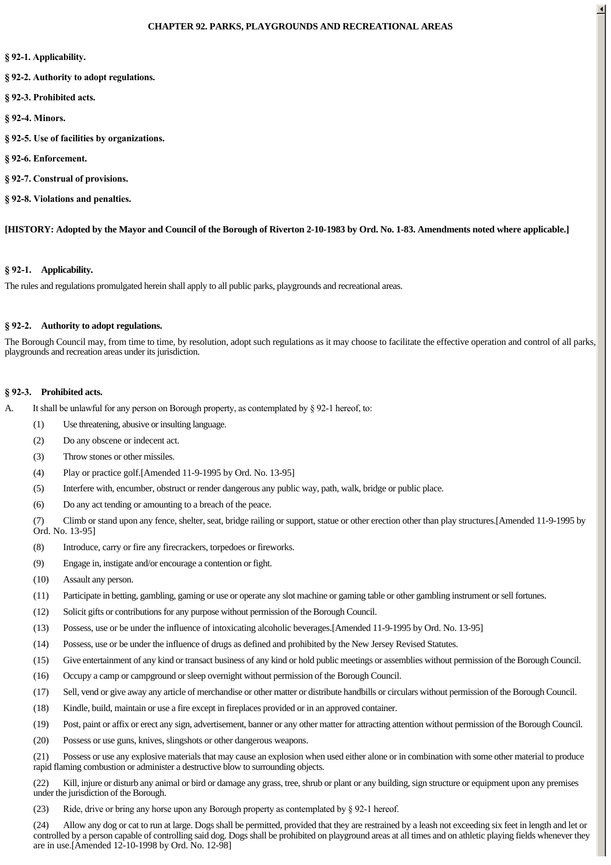#### **CHAPTER 92. PARKS, PLAYGROUNDS AND RECREATIONAL AREAS**

- § 92-1. Applicability.
- **§ 922. Authority to adopt regulations.**
- **§ 923. Prohibited acts.**
- **§ 924. Minors.**
- **§ 925. Use of facilities by organizations.**
- **§ 926. Enforcement.**
- **§ 927. Construal of provisions.**
- § 92-8. Violations and penalties.

**[HISTORY: Adopted by the Mayor and Council of the Borough of Riverton 2-10-1983 by Ord. No. 1-83. Amendments noted where applicable.]**

#### **§ 921. Applicability.**

The rules and regulations promulgated herein shall apply to all public parks, playgrounds and recreational areas.

#### **§ 922. Authority to adopt regulations.**

The Borough Council may, from time to time, by resolution, adopt such regulations as it may choose to facilitate the effective operation and control of all parks, playgrounds and recreation areas under its jurisdiction.

#### **§ 923. Prohibited acts.**

- A. It shall be unlawful for any person on Borough property, as contemplated by  $\S 92$ -1 hereof, to:
	- (1) Use threatening, abusive or insulting language.
	- (2) Do any obscene or indecent act.
	- (3) Throw stones or other missiles.
	- (4) Play or practice golf.[Amended 11-9-1995 by Ord. No. 13-95]
	- (5) Interfere with, encumber, obstruct or render dangerous any public way, path, walk, bridge or public place.
	- (6) Do any act tending or amounting to a breach of the peace.

(7) Climb or stand upon any fence, shelter, seat, bridge railing or support, statue or other erection other than play structures.[Amended 11-9-1995 by Ord. No. 13-95]

- (8) Introduce, carry or fire any firecrackers, torpedoes or fireworks.
- (9) Engage in, instigate and/or encourage a contention or fight.
- (10) Assault any person.
- (11) Participate in betting, gambling, gaming or use or operate any slot machine or gaming table or other gambling instrument or sell fortunes.
- (12) Solicit gifts or contributions for any purpose without permission of the Borough Council.
- (13) Possess, use or be under the influence of intoxicating alcoholic beverages.[Amended 11-9-1995 by Ord. No. 13-95]
- (14) Possess, use or be under the influence of drugs as defined and prohibited by the New Jersey Revised Statutes.
- (15) Give entertainment of any kind or transact business of any kind or hold public meetings or assemblies without permission of the Borough Council.
- (16) Occupy a camp or campground or sleep overnight without permission of the Borough Council.
- (17) Sell, vend or give away any article of merchandise or other matter or distribute handbills or circulars without permission of the Borough Council.
- (18) Kindle, build, maintain or use a fire except in fireplaces provided or in an approved container.
- (19) Post, paint or affix or erect any sign, advertisement, banner or any other matter for attracting attention without permission of the Borough Council.
- (20) Possess or use guns, knives, slingshots or other dangerous weapons.

(21) Possess or use any explosive materials that may cause an explosion when used either alone or in combination with some other material to produce rapid flaming combustion or administer a destructive blow to surrounding objects.

(22) Kill, injure or disturb any animal or bird or damage any grass, tree, shrub or plant or any building, sign structure or equipment upon any premises under the jurisdiction of the Borough.

(23) Ride, drive or bring any horse upon any Borough property as contemplated by § 921 hereof.

(24) Allow any dog or cat to run at large. Dogs shall be permitted, provided that they are restrained by a leash not exceeding six feet in length and let or controlled by a person capable of controlling said dog. Dogs shall be prohibited on playground areas at all times and on athletic playing fields whenever they are in use.[Amended 12-10-1998 by Ord. No. 12-98]